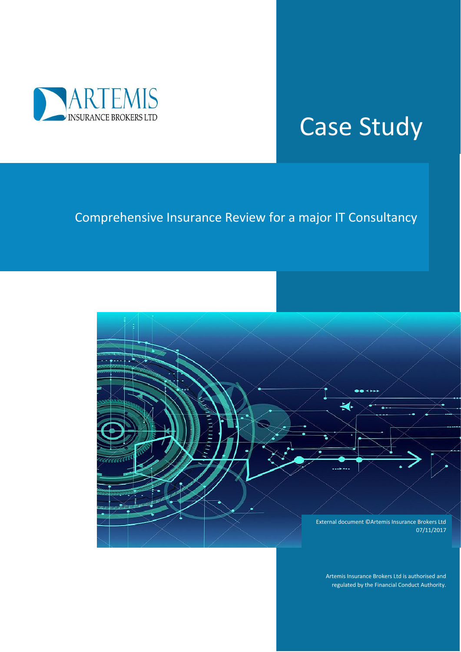

## Case Study

## Comprehensive Insurance Review for a major IT Consultancy



Artemis Insurance Brokers Ltd is authorised and regulated by the Financial Conduct Authority.